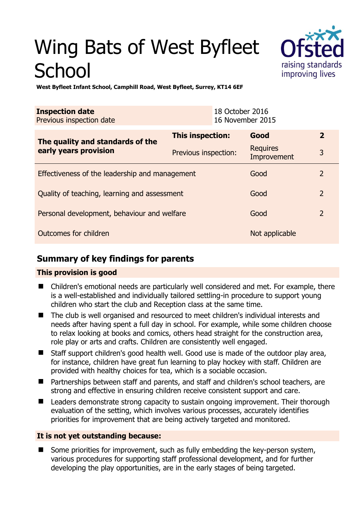# Wing Bats of West Byfleet **School**



**West Byfleet Infant School, Camphill Road, West Byfleet, Surrey, KT14 6EF** 

| <b>Inspection date</b><br>Previous inspection date        |                      | 18 October 2016<br>16 November 2015 |                         |                |
|-----------------------------------------------------------|----------------------|-------------------------------------|-------------------------|----------------|
| The quality and standards of the<br>early years provision | This inspection:     |                                     | Good                    | $\overline{2}$ |
|                                                           | Previous inspection: |                                     | Requires<br>Improvement | 3              |
| Effectiveness of the leadership and management            |                      |                                     | Good                    | $\overline{2}$ |
| Quality of teaching, learning and assessment              |                      |                                     | Good                    | $\overline{2}$ |
| Personal development, behaviour and welfare               |                      |                                     | Good                    | 2              |
| Outcomes for children                                     |                      |                                     | Not applicable          |                |

## **Summary of key findings for parents**

#### **This provision is good**

- Children's emotional needs are particularly well considered and met. For example, there is a well-established and individually tailored settling-in procedure to support young children who start the club and Reception class at the same time.
- The club is well organised and resourced to meet children's individual interests and needs after having spent a full day in school. For example, while some children choose to relax looking at books and comics, others head straight for the construction area, role play or arts and crafts. Children are consistently well engaged.
- Staff support children's good health well. Good use is made of the outdoor play area, for instance, children have great fun learning to play hockey with staff. Children are provided with healthy choices for tea, which is a sociable occasion.
- Partnerships between staff and parents, and staff and children's school teachers, are strong and effective in ensuring children receive consistent support and care.
- Leaders demonstrate strong capacity to sustain ongoing improvement. Their thorough evaluation of the setting, which involves various processes, accurately identifies priorities for improvement that are being actively targeted and monitored.

#### **It is not yet outstanding because:**

 Some priorities for improvement, such as fully embedding the key-person system, various procedures for supporting staff professional development, and for further developing the play opportunities, are in the early stages of being targeted.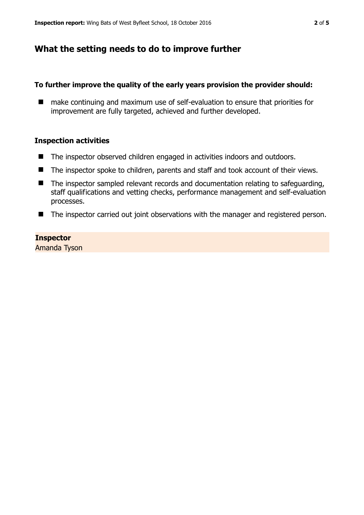## **What the setting needs to do to improve further**

#### **To further improve the quality of the early years provision the provider should:**

■ make continuing and maximum use of self-evaluation to ensure that priorities for improvement are fully targeted, achieved and further developed.

#### **Inspection activities**

- The inspector observed children engaged in activities indoors and outdoors.
- The inspector spoke to children, parents and staff and took account of their views.
- The inspector sampled relevant records and documentation relating to safeguarding, staff qualifications and vetting checks, performance management and self-evaluation processes.
- The inspector carried out joint observations with the manager and registered person.

#### **Inspector**

Amanda Tyson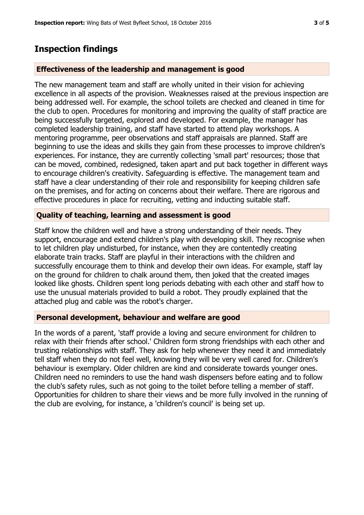### **Inspection findings**

#### **Effectiveness of the leadership and management is good**

The new management team and staff are wholly united in their vision for achieving excellence in all aspects of the provision. Weaknesses raised at the previous inspection are being addressed well. For example, the school toilets are checked and cleaned in time for the club to open. Procedures for monitoring and improving the quality of staff practice are being successfully targeted, explored and developed. For example, the manager has completed leadership training, and staff have started to attend play workshops. A mentoring programme, peer observations and staff appraisals are planned. Staff are beginning to use the ideas and skills they gain from these processes to improve children's experiences. For instance, they are currently collecting 'small part' resources; those that can be moved, combined, redesigned, taken apart and put back together in different ways to encourage children's creativity. Safeguarding is effective. The management team and staff have a clear understanding of their role and responsibility for keeping children safe on the premises, and for acting on concerns about their welfare. There are rigorous and effective procedures in place for recruiting, vetting and inducting suitable staff.

#### **Quality of teaching, learning and assessment is good**

Staff know the children well and have a strong understanding of their needs. They support, encourage and extend children's play with developing skill. They recognise when to let children play undisturbed, for instance, when they are contentedly creating elaborate train tracks. Staff are playful in their interactions with the children and successfully encourage them to think and develop their own ideas. For example, staff lay on the ground for children to chalk around them, then joked that the created images looked like ghosts. Children spent long periods debating with each other and staff how to use the unusual materials provided to build a robot. They proudly explained that the attached plug and cable was the robot's charger.

#### **Personal development, behaviour and welfare are good**

In the words of a parent, 'staff provide a loving and secure environment for children to relax with their friends after school.' Children form strong friendships with each other and trusting relationships with staff. They ask for help whenever they need it and immediately tell staff when they do not feel well, knowing they will be very well cared for. Children's behaviour is exemplary. Older children are kind and considerate towards younger ones. Children need no reminders to use the hand wash dispensers before eating and to follow the club's safety rules, such as not going to the toilet before telling a member of staff. Opportunities for children to share their views and be more fully involved in the running of the club are evolving, for instance, a 'children's council' is being set up.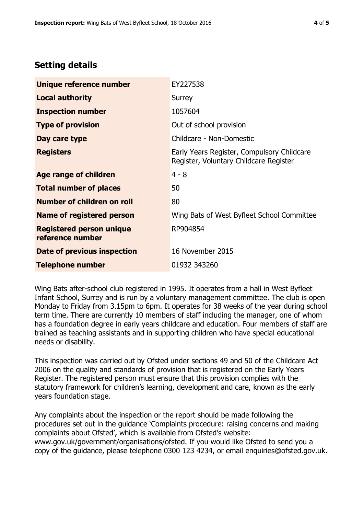## **Setting details**

| Unique reference number                             | EY227538                                                                             |  |
|-----------------------------------------------------|--------------------------------------------------------------------------------------|--|
| <b>Local authority</b>                              | Surrey                                                                               |  |
| <b>Inspection number</b>                            | 1057604                                                                              |  |
| <b>Type of provision</b>                            | Out of school provision                                                              |  |
| Day care type                                       | Childcare - Non-Domestic                                                             |  |
| <b>Registers</b>                                    | Early Years Register, Compulsory Childcare<br>Register, Voluntary Childcare Register |  |
| Age range of children                               | $4 - 8$                                                                              |  |
| <b>Total number of places</b>                       | 50                                                                                   |  |
| Number of children on roll                          | 80                                                                                   |  |
| Name of registered person                           | Wing Bats of West Byfleet School Committee                                           |  |
| <b>Registered person unique</b><br>reference number | RP904854                                                                             |  |
| <b>Date of previous inspection</b>                  | 16 November 2015                                                                     |  |
| <b>Telephone number</b>                             | 01932 343260                                                                         |  |

Wing Bats after-school club registered in 1995. It operates from a hall in West Byfleet Infant School, Surrey and is run by a voluntary management committee. The club is open Monday to Friday from 3.15pm to 6pm. It operates for 38 weeks of the year during school term time. There are currently 10 members of staff including the manager, one of whom has a foundation degree in early years childcare and education. Four members of staff are trained as teaching assistants and in supporting children who have special educational needs or disability.

This inspection was carried out by Ofsted under sections 49 and 50 of the Childcare Act 2006 on the quality and standards of provision that is registered on the Early Years Register. The registered person must ensure that this provision complies with the statutory framework for children's learning, development and care, known as the early years foundation stage.

Any complaints about the inspection or the report should be made following the procedures set out in the guidance 'Complaints procedure: raising concerns and making complaints about Ofsted', which is available from Ofsted's website: www.gov.uk/government/organisations/ofsted. If you would like Ofsted to send you a copy of the guidance, please telephone 0300 123 4234, or email enquiries@ofsted.gov.uk.